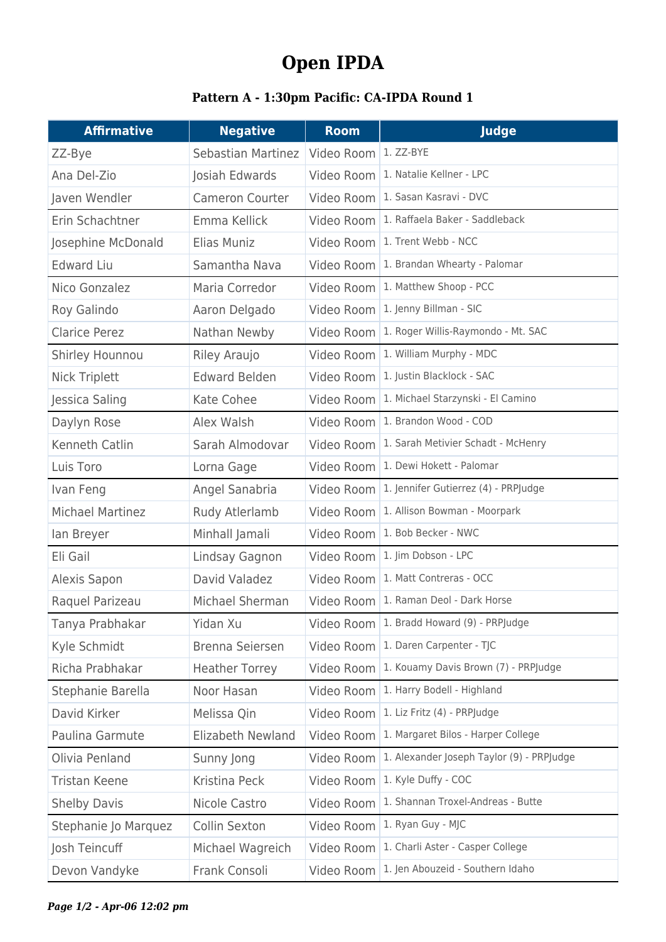## **Open IPDA**

## **Pattern A - 1:30pm Pacific: CA-IPDA Round 1**

| <b>Affirmative</b>      | <b>Negative</b>           | <b>Room</b> | <b>Judge</b>                              |
|-------------------------|---------------------------|-------------|-------------------------------------------|
| ZZ-Bye                  | <b>Sebastian Martinez</b> | Video Room  | 1. ZZ-BYE                                 |
| Ana Del-Zio             | Josiah Edwards            | Video Room  | 1. Natalie Kellner - LPC                  |
| Javen Wendler           | <b>Cameron Courter</b>    | Video Room  | 1. Sasan Kasravi - DVC                    |
| Erin Schachtner         | Emma Kellick              | Video Room  | 1. Raffaela Baker - Saddleback            |
| Josephine McDonald      | Elias Muniz               | Video Room  | 1. Trent Webb - NCC                       |
| <b>Edward Liu</b>       | Samantha Nava             | Video Room  | 1. Brandan Whearty - Palomar              |
| Nico Gonzalez           | Maria Corredor            | Video Room  | 1. Matthew Shoop - PCC                    |
| Roy Galindo             | Aaron Delgado             | Video Room  | 1. Jenny Billman - SIC                    |
| <b>Clarice Perez</b>    | Nathan Newby              | Video Room  | 1. Roger Willis-Raymondo - Mt. SAC        |
| Shirley Hounnou         | Riley Araujo              | Video Room  | 1. William Murphy - MDC                   |
| <b>Nick Triplett</b>    | <b>Edward Belden</b>      | Video Room  | 1. Justin Blacklock - SAC                 |
| Jessica Saling          | Kate Cohee                | Video Room  | 1. Michael Starzynski - El Camino         |
| Daylyn Rose             | Alex Walsh                | Video Room  | 1. Brandon Wood - COD                     |
| Kenneth Catlin          | Sarah Almodovar           | Video Room  | 1. Sarah Metivier Schadt - McHenry        |
| Luis Toro               | Lorna Gage                | Video Room  | 1. Dewi Hokett - Palomar                  |
| Ivan Feng               | Angel Sanabria            | Video Room  | 1. Jennifer Gutierrez (4) - PRPJudge      |
| <b>Michael Martinez</b> | Rudy Atlerlamb            | Video Room  | 1. Allison Bowman - Moorpark              |
| lan Breyer              | Minhall Jamali            | Video Room  | 1. Bob Becker - NWC                       |
| Eli Gail                | Lindsay Gagnon            | Video Room  | 1. Jim Dobson - LPC                       |
| Alexis Sapon            | David Valadez             | Video Room  | 1. Matt Contreras - OCC                   |
| Raquel Parizeau         | Michael Sherman           | Video Room  | 1. Raman Deol - Dark Horse                |
| Tanya Prabhakar         | Yidan Xu                  |             | Video Room 1. Bradd Howard (9) - PRPJudge |
| Kyle Schmidt            | Brenna Seiersen           | Video Room  | 1. Daren Carpenter - TJC                  |
| Richa Prabhakar         | <b>Heather Torrey</b>     | Video Room  | 1. Kouamy Davis Brown (7) - PRPJudge      |
| Stephanie Barella       | Noor Hasan                | Video Room  | 1. Harry Bodell - Highland                |
| David Kirker            | Melissa Qin               | Video Room  | 1. Liz Fritz (4) - PRPJudge               |
| Paulina Garmute         | Elizabeth Newland         | Video Room  | 1. Margaret Bilos - Harper College        |
| Olivia Penland          | Sunny Jong                | Video Room  | 1. Alexander Joseph Taylor (9) - PRPJudge |
| <b>Tristan Keene</b>    | Kristina Peck             | Video Room  | 1. Kyle Duffy - COC                       |
| <b>Shelby Davis</b>     | Nicole Castro             | Video Room  | 1. Shannan Troxel-Andreas - Butte         |
| Stephanie Jo Marquez    | Collin Sexton             | Video Room  | 1. Ryan Guy - MJC                         |
| Josh Teincuff           | Michael Wagreich          | Video Room  | 1. Charli Aster - Casper College          |
| Devon Vandyke           | Frank Consoli             | Video Room  | 1. Jen Abouzeid - Southern Idaho          |